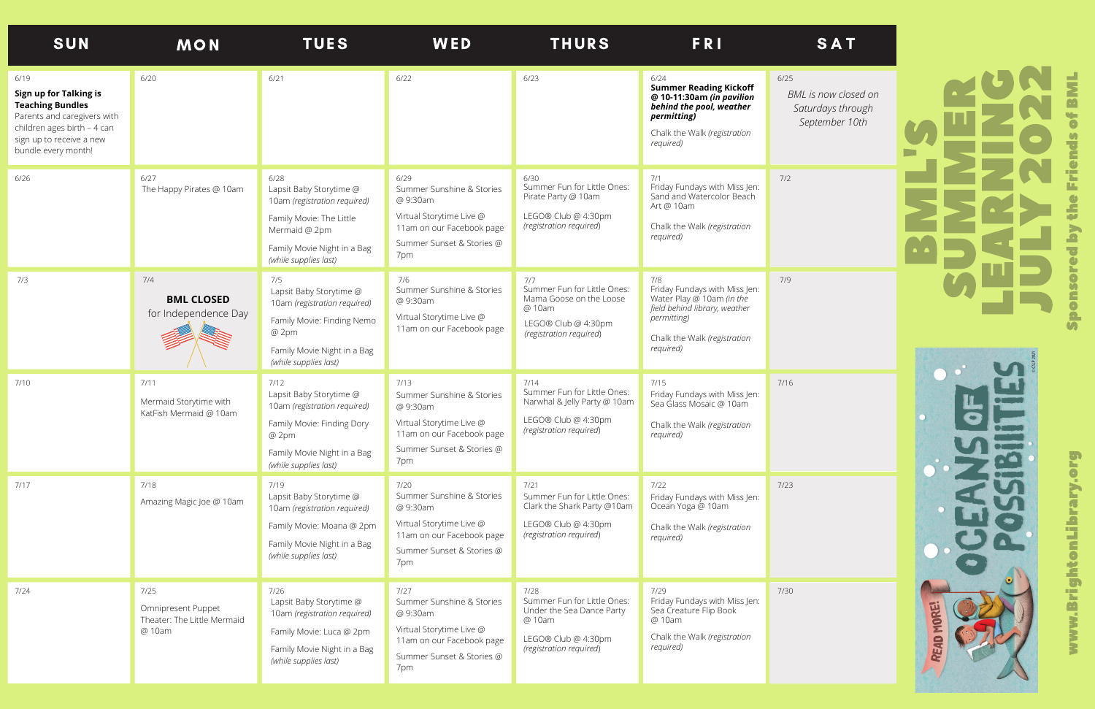## **BA** ML'SS $\Box$ MM $\Box$ RL $\Box$ ARN<u>Isabel a</u> NG**D**  $\blacksquare$ L**Y** 2 02 2 <u>p</u> onsoredb $\blacktriangleright$ th $\boldsymbol{\omega}$ Friends**b** BML

*BML is now closed on Saturdays through September 10th*



**S** 



| <b>SUN</b>                                                                                                                                                                 | <b>MON</b>                                                          | <b>TUES</b>                                                                                                                                                          | WED                                                                                                                                        | <b>THURS</b>                                                                                                                 | FRI                                                                                                                                                                    | <b>SAT</b>                                                   |
|----------------------------------------------------------------------------------------------------------------------------------------------------------------------------|---------------------------------------------------------------------|----------------------------------------------------------------------------------------------------------------------------------------------------------------------|--------------------------------------------------------------------------------------------------------------------------------------------|------------------------------------------------------------------------------------------------------------------------------|------------------------------------------------------------------------------------------------------------------------------------------------------------------------|--------------------------------------------------------------|
| 6/19<br>Sign up for Talking is<br><b>Teaching Bundles</b><br>Parents and caregivers with<br>children ages birth - 4 can<br>sign up to receive a new<br>bundle every month! | 6/20                                                                | 6/21                                                                                                                                                                 | 6/22                                                                                                                                       | 6/23                                                                                                                         | 6/24<br><b>Summer Reading Kickoff</b><br>@ 10-11:30am (in pavilion<br>behind the pool, weather<br>permitting)<br>Chalk the Walk (registration<br>required)             | $6/25$<br>BML is now close<br>Saturdays thro<br>September 10 |
| 6/26                                                                                                                                                                       | 6/27<br>The Happy Pirates @ 10am                                    | 6/28<br>Lapsit Baby Storytime @<br>10am (registration required)<br>Family Movie: The Little<br>Mermaid @ 2pm<br>Family Movie Night in a Bag<br>(while supplies last) | 6/29<br>Summer Sunshine & Stories<br>@ 9:30am<br>Virtual Storytime Live @<br>11am on our Facebook page<br>Summer Sunset & Stories @<br>7pm | 6/30<br>Summer Fun for Little Ones:<br>Pirate Party @ 10am<br>LEGO® Club @ 4:30pm<br>(registration required)                 | 7/1<br>Friday Fundays with Miss Jen:<br>Sand and Watercolor Beach<br>Art @ 10am<br>Chalk the Walk (registration<br>required)                                           | 7/2                                                          |
| 7/3                                                                                                                                                                        | 7/4<br><b>BML CLOSED</b><br>for Independence Day                    | 7/5<br>Lapsit Baby Storytime @<br>10am (registration required)<br>Family Movie: Finding Nemo<br>@ 2pm<br>Family Movie Night in a Bag<br>(while supplies last)        | 7/6<br>Summer Sunshine & Stories<br>@ 9:30am<br>Virtual Storytime Live @<br>11am on our Facebook page                                      | 7/7<br>Summer Fun for Little Ones:<br>Mama Goose on the Loose<br>@ 10am<br>LEGO® Club @ 4:30pm<br>(registration required)    | 7/8<br>Friday Fundays with Miss Jen:<br>Water Play @ 10am (in the<br>field behind library, weather<br><i>permitting</i> )<br>Chalk the Walk (registration<br>required) | 7/9                                                          |
| 7/10                                                                                                                                                                       | 7/11<br>Mermaid Storytime with<br>KatFish Mermaid @ 10am            | 7/12<br>Lapsit Baby Storytime @<br>10am (registration required)<br>Family Movie: Finding Dory<br>@ 2pm<br>Family Movie Night in a Bag<br>(while supplies last)       | 7/13<br>Summer Sunshine & Stories<br>@ 9:30am<br>Virtual Storytime Live @<br>11am on our Facebook page<br>Summer Sunset & Stories @<br>7pm | 7/14<br>Summer Fun for Little Ones:<br>Narwhal & Jelly Party @ 10am<br>LEGO® Club @ 4:30pm<br>(registration required)        | 7/15<br>Friday Fundays with Miss Jen:<br>Sea Glass Mosaic @ 10am<br>Chalk the Walk (registration<br>required)                                                          | $7/16$                                                       |
| 7/17                                                                                                                                                                       | 7/18<br>Amazing Magic Joe @ 10am                                    | 7/19<br>Lapsit Baby Storytime @<br>10am (registration required)<br>Family Movie: Moana @ 2pm<br>Family Movie Night in a Bag<br>(while supplies last)                 | 7/20<br>Summer Sunshine & Stories<br>@ 9:30am<br>Virtual Storytime Live @<br>11am on our Facebook page<br>Summer Sunset & Stories @<br>7pm | 7/21<br>Summer Fun for Little Ones:<br>Clark the Shark Party @10am<br>LEGO® Club @ 4:30pm<br>(registration required)         | 7/22<br>Friday Fundays with Miss Jen:<br>Ocean Yoga @ 10am<br>Chalk the Walk (registration<br>required)                                                                | 7/23                                                         |
| 7/24                                                                                                                                                                       | 7/25<br>Omnipresent Puppet<br>Theater: The Little Mermaid<br>@ 10am | 7/26<br>Lapsit Baby Storytime @<br>10am (registration required)<br>Family Movie: Luca @ 2pm<br>Family Movie Night in a Bag<br>(while supplies last)                  | 7/27<br>Summer Sunshine & Stories<br>@ 9:30am<br>Virtual Storytime Live @<br>11am on our Facebook page<br>Summer Sunset & Stories @<br>7pm | 7/28<br>Summer Fun for Little Ones:<br>Under the Sea Dance Party<br>@ 10am<br>LEGO® Club @ 4:30pm<br>(registration required) | 7/29<br>Friday Fundays with Miss Jen:<br>Sea Creature Flip Book<br>@ 10am<br>Chalk the Walk (registration<br>required)                                                 | 7/30                                                         |